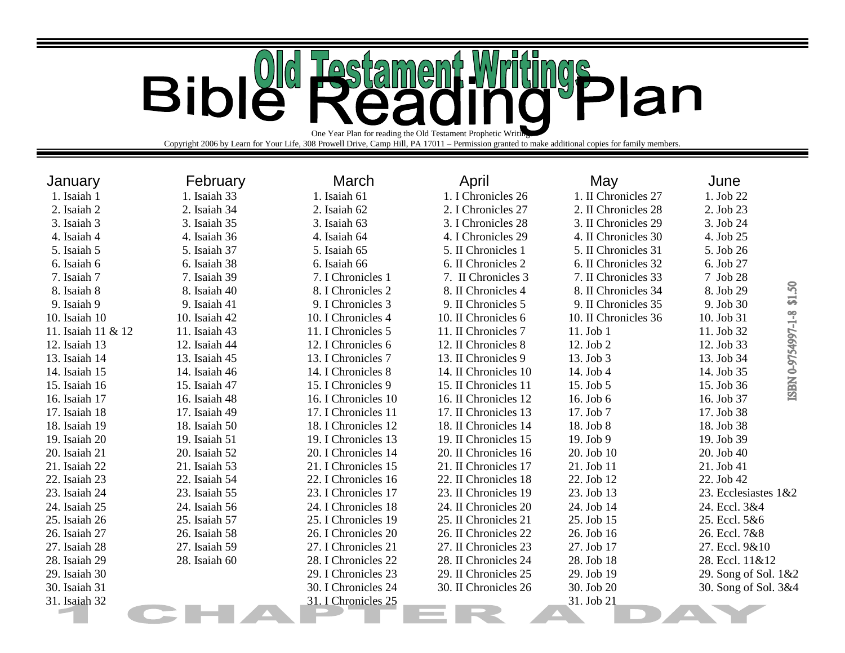## **Bible** ings **Testam**  $\left[\begin{matrix} 0 \ 0 \end{matrix}\right]$  $\bigoplus$ Plan One Year Plan for reading the Old Testament Prophetic Writ

Copyright 2006 by Learn for Your Life, 308 Prowell Drive, Camp Hill, PA 17011 – Permission granted to make additional copies for family members.

| January            | February      | March               | April                | May                  | June                             |
|--------------------|---------------|---------------------|----------------------|----------------------|----------------------------------|
| 1. Isaiah 1        | 1. Isaiah 33  | 1. Isaiah 61        | 1. I Chronicles 26   | 1. II Chronicles 27  | 1. Job 22                        |
| 2. Isaiah 2        | 2. Isaiah 34  | 2. Isaiah 62        | 2. I Chronicles 27   | 2. II Chronicles 28  | 2. Job 23                        |
| 3. Isaiah 3        | 3. Isaiah 35  | 3. Isaiah 63        | 3. I Chronicles 28   | 3. II Chronicles 29  | 3. Job 24                        |
| 4. Isaiah 4        | 4. Isaiah 36  | 4. Isaiah 64        | 4. I Chronicles 29   | 4. II Chronicles 30  | 4. Job 25                        |
| 5. Isaiah 5        | 5. Isaiah 37  | 5. Isaiah 65        | 5. II Chronicles 1   | 5. II Chronicles 31  | 5. Job 26                        |
| 6. Isaiah 6        | 6. Isaiah 38  | 6. Isaiah 66        | 6. II Chronicles 2   | 6. II Chronicles 32  | 6. Job 27                        |
| 7. Isaiah 7        | 7. Isaiah 39  | 7. I Chronicles 1   | 7. II Chronicles 3   | 7. II Chronicles 33  | 7 Job 28                         |
| 8. Isaiah 8        | 8. Isaiah 40  | 8. I Chronicles 2   | 8. II Chronicles 4   | 8. II Chronicles 34  | \$1.50<br>8. Job 29              |
| 9. Isaiah 9        | 9. Isaiah 41  | 9. I Chronicles 3   | 9. II Chronicles 5   | 9. II Chronicles 35  | 9. Job 30                        |
| 10. Isaiah 10      | 10. Isaiah 42 | 10. I Chronicles 4  | 10. II Chronicles 6  | 10. II Chronicles 36 | ISBN 0-9754997-1-8<br>10. Job 31 |
| 11. Isaiah 11 & 12 | 11. Isaiah 43 | 11. I Chronicles 5  | 11. II Chronicles 7  | 11. Job 1            | 11. Job 32                       |
| 12. Isaiah 13      | 12. Isaiah 44 | 12. I Chronicles 6  | 12. II Chronicles 8  | 12. Job 2            | 12. Job 33                       |
| 13. Isaiah 14      | 13. Isaiah 45 | 13. I Chronicles 7  | 13. II Chronicles 9  | 13. Job 3            | 13. Job 34                       |
| 14. Isaiah 15      | 14. Isaiah 46 | 14. I Chronicles 8  | 14. II Chronicles 10 | 14. Job 4            | 14. Job 35                       |
| 15. Isaiah 16      | 15. Isaiah 47 | 15. I Chronicles 9  | 15. II Chronicles 11 | 15. Job 5            | 15. Job 36                       |
| 16. Isaiah 17      | 16. Isaiah 48 | 16. I Chronicles 10 | 16. II Chronicles 12 | 16. Job 6            | 16. Job 37                       |
| 17. Isaiah 18      | 17. Isaiah 49 | 17. I Chronicles 11 | 17. II Chronicles 13 | 17. Job 7            | 17. Job 38                       |
| 18. Isaiah 19      | 18. Isaiah 50 | 18. I Chronicles 12 | 18. II Chronicles 14 | 18. Job 8            | 18. Job 38                       |
| 19. Isaiah 20      | 19. Isaiah 51 | 19. I Chronicles 13 | 19. II Chronicles 15 | 19. Job 9            | 19. Job 39                       |
| 20. Isaiah 21      | 20. Isaiah 52 | 20. I Chronicles 14 | 20. II Chronicles 16 | 20. Job 10           | 20. Job 40                       |
| 21. Isaiah 22      | 21. Isaiah 53 | 21. I Chronicles 15 | 21. II Chronicles 17 | 21. Job 11           | 21. Job 41                       |
| 22. Isaiah 23      | 22. Isaiah 54 | 22. I Chronicles 16 | 22. II Chronicles 18 | 22. Job 12           | 22. Job 42                       |
| 23. Isaiah 24      | 23. Isaiah 55 | 23. I Chronicles 17 | 23. II Chronicles 19 | 23. Job 13           | 23. Ecclesiastes 1&2             |
| 24. Isaiah 25      | 24. Isaiah 56 | 24. I Chronicles 18 | 24. II Chronicles 20 | 24. Job 14           | 24. Eccl. 3&4                    |
| 25. Isaiah 26      | 25. Isaiah 57 | 25. I Chronicles 19 | 25. II Chronicles 21 | 25. Job 15           | 25. Eccl. 5&6                    |
| 26. Isaiah 27      | 26. Isaiah 58 | 26. I Chronicles 20 | 26. II Chronicles 22 | 26. Job 16           | 26. Eccl. 7&8                    |
| 27. Isaiah 28      | 27. Isaiah 59 | 27. I Chronicles 21 | 27. II Chronicles 23 | 27. Job 17           | 27. Eccl. 9&10                   |
| 28. Isaiah 29      | 28. Isaiah 60 | 28. I Chronicles 22 | 28. II Chronicles 24 | 28. Job 18           | 28. Eccl. 11&12                  |
| 29. Isaiah 30      |               | 29. I Chronicles 23 | 29. II Chronicles 25 | 29. Job 19           | 29. Song of Sol. 1&2             |
| 30. Isaiah 31      |               | 30. I Chronicles 24 | 30. II Chronicles 26 | 30. Job 20           | 30. Song of Sol. 3&4             |
| 31. Isaiah 32      |               | 31. I Chronicles 25 |                      | 31. Job 21           |                                  |
|                    |               |                     |                      |                      |                                  |